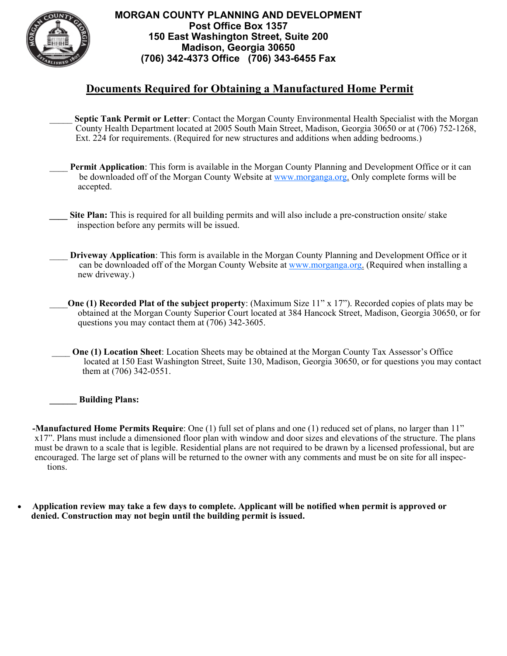

## **MORGAN COUNTY PLANNING AND DEVELOPMENT Post Office Box 1357 150 East Washington Street, Suite 200 Madison, Georgia 30650 (706) 342-4373 Office (706) 343-6455 Fax**

## **Documents Required for Obtaining a Manufactured Home Permit**

- Septic Tank Permit or Letter: Contact the Morgan County Environmental Health Specialist with the Morgan County Health Department located at 2005 South Main Street, Madison, Georgia 30650 or at (706) 752-1268, Ext. 224 for requirements. (Required for new structures and additions when adding bedrooms.)
- **Permit Application**: This form is available in the Morgan County Planning and Development Office or it can be downloaded off of the Morgan County Website at www.morganga.org. Only complete forms will be accepted.
- **Site Plan:** This is required for all building permits and will also include a pre-construction onsite/ stake inspection before any permits will be issued.
- \_\_\_\_ **Driveway Application**: This form is available in the Morgan County Planning and Development Office or it can be downloaded off of the Morgan County Website at www.morganga.org. (Required when installing a new driveway.)
- \_\_\_\_**One (1) Recorded Plat of the subject property**: (Maximum Size 11" x 17"). Recorded copies of plats may be obtained at the Morgan County Superior Court located at 384 Hancock Street, Madison, Georgia 30650, or for questions you may contact them at (706) 342-3605.
- **One (1) Location Sheet:** Location Sheets may be obtained at the Morgan County Tax Assessor's Office located at 150 East Washington Street, Suite 130, Madison, Georgia 30650, or for questions you may contact them at (706) 342-0551.

**Building Plans:** 

**-Manufactured Home Permits Require**: One (1) full set of plans and one (1) reduced set of plans, no larger than 11" x17". Plans must include a dimensioned floor plan with window and door sizes and elevations of the structure. The plans must be drawn to a scale that is legible. Residential plans are not required to be drawn by a licensed professional, but are encouraged. The large set of plans will be returned to the owner with any comments and must be on site for all inspections.

 **Application review may take a few days to complete. Applicant will be notified when permit is approved or denied. Construction may not begin until the building permit is issued.**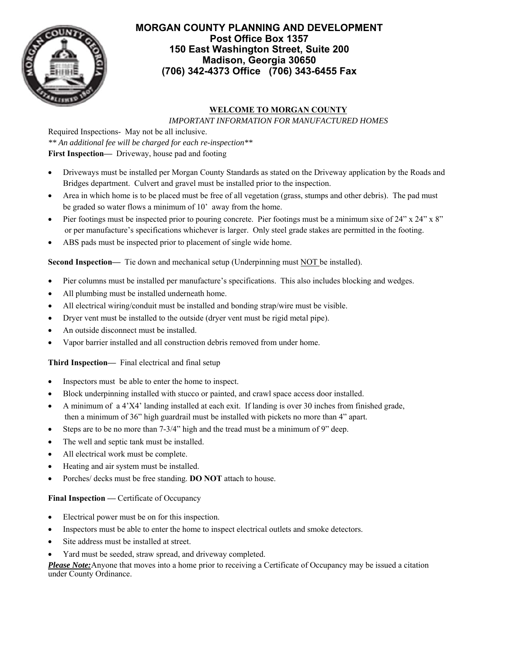

## **MORGAN COUNTY PLANNING AND DEVELOPMENT Post Office Box 1357 150 East Washington Street, Suite 200 Madison, Georgia 30650 (706) 342-4373 Office (706) 343-6455 Fax**

## **WELCOME TO MORGAN COUNTY**

 *IMPORTANT INFORMATION FOR MANUFACTURED HOMES*

Required Inspections- May not be all inclusive. *\*\* An additional fee will be charged for each re-inspection\*\** **First Inspection—** Driveway, house pad and footing

- Driveways must be installed per Morgan County Standards as stated on the Driveway application by the Roads and Bridges department. Culvert and gravel must be installed prior to the inspection.
- Area in which home is to be placed must be free of all vegetation (grass, stumps and other debris). The pad must be graded so water flows a minimum of 10' away from the home.
- $\bullet$  Pier footings must be inspected prior to pouring concrete. Pier footings must be a minimum sixe of 24" x 24" x 8" or per manufacture's specifications whichever is larger. Only steel grade stakes are permitted in the footing.
- ABS pads must be inspected prior to placement of single wide home.

**Second Inspection—** Tie down and mechanical setup (Underpinning must NOT be installed).

- Pier columns must be installed per manufacture's specifications. This also includes blocking and wedges.
- All plumbing must be installed underneath home.
- All electrical wiring/conduit must be installed and bonding strap/wire must be visible.
- Dryer vent must be installed to the outside (dryer vent must be rigid metal pipe).
- An outside disconnect must be installed.
- Vapor barrier installed and all construction debris removed from under home.

**Third Inspection—** Final electrical and final setup

- Inspectors must be able to enter the home to inspect.
- Block underpinning installed with stucco or painted, and crawl space access door installed.
- A minimum of a 4'X4' landing installed at each exit. If landing is over 30 inches from finished grade, then a minimum of 36" high guardrail must be installed with pickets no more than 4" apart.
- Steps are to be no more than 7-3/4" high and the tread must be a minimum of 9" deep.
- The well and septic tank must be installed.
- All electrical work must be complete.
- Heating and air system must be installed.
- Porches/ decks must be free standing. **DO NOT** attach to house.

#### **Final Inspection — Certificate of Occupancy**

- Electrical power must be on for this inspection.
- Inspectors must be able to enter the home to inspect electrical outlets and smoke detectors.
- Site address must be installed at street.
- Yard must be seeded, straw spread, and driveway completed.

*Please Note:*Anyone that moves into a home prior to receiving a Certificate of Occupancy may be issued a citation under County Ordinance.